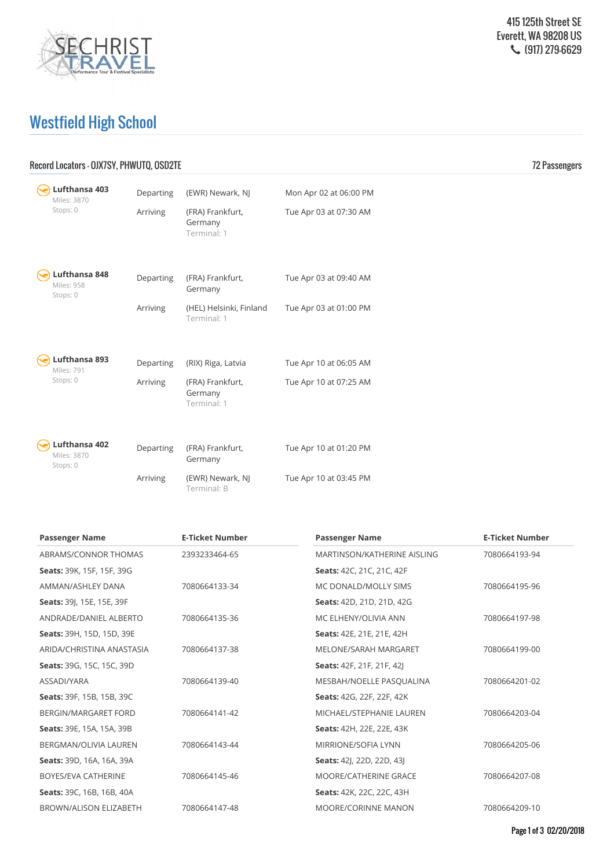

## Westfield High School

## Record Locators - OJX7SY, PHWUTQ, OSD2TE 72 Passengers

|  | Lufthansa 403<br>Miles: 3870             | Departing | (EWR) Newark, NJ                           | Mon Apr 02 at 06:00 PM |
|--|------------------------------------------|-----------|--------------------------------------------|------------------------|
|  | Stops: 0                                 | Arriving  | (FRA) Frankfurt,<br>Germany<br>Terminal: 1 | Tue Apr 03 at 07:30 AM |
|  | Lufthansa 848<br>Miles: 958<br>Stops: 0  | Departing | (FRA) Frankfurt,<br>Germany                | Tue Apr 03 at 09:40 AM |
|  |                                          | Arriving  | (HEL) Helsinki, Finland<br>Terminal: 1     | Tue Apr 03 at 01:00 PM |
|  |                                          |           |                                            |                        |
|  | Lufthansa 893<br>Miles: 791<br>Stops: 0  | Departing | (RIX) Riga, Latvia                         | Tue Apr 10 at 06:05 AM |
|  |                                          | Arriving  | (FRA) Frankfurt,<br>Germany<br>Terminal: 1 | Tue Apr 10 at 07:25 AM |
|  |                                          |           |                                            |                        |
|  | Lufthansa 402<br>Miles: 3870<br>Stops: 0 | Departing | (FRA) Frankfurt,<br>Germany                | Tue Apr 10 at 01:20 PM |
|  |                                          | Arriving  | (EWR) Newark, NJ<br>Terminal: B            | Tue Apr 10 at 03:45 PM |

| <b>Passenger Name</b>            | <b>E-Ticket Number</b> | <b>Passenger Name</b>            | <b>E-Ticket Number</b> |
|----------------------------------|------------------------|----------------------------------|------------------------|
| ABRAMS/CONNOR THOMAS             | 2393233464-65          | MARTINSON/KATHERINE AISLING      | 7080664193-94          |
| Seats: 39K, 15F, 15F, 39G        |                        | Seats: 42C, 21C, 21C, 42F        |                        |
| AMMAN/ASHLEY DANA                | 7080664133-34          | MC DONALD/MOLLY SIMS             | 7080664195-96          |
| <b>Seats: 391, 15E, 15E, 39F</b> |                        | Seats: 42D, 21D, 21D, 42G        |                        |
| ANDRADE/DANIEL ALBERTO           | 7080664135-36          | MC ELHENY/OLIVIA ANN             | 7080664197-98          |
| Seats: 39H, 15D, 15D, 39E        |                        | Seats: 42E, 21E, 21E, 42H        |                        |
| ARIDA/CHRISTINA ANASTASIA        | 7080664137-38          | MELONE/SARAH MARGARET            | 7080664199-00          |
| <b>Seats:</b> 39G, 15C, 15C, 39D |                        | <b>Seats:</b> 42F, 21F, 21F, 42J |                        |
| ASSADI/YARA                      | 7080664139-40          | MESBAH/NOELLE PASQUALINA         | 7080664201-02          |
| Seats: 39F, 15B, 15B, 39C        |                        | Seats: 42G, 22F, 22F, 42K        |                        |
| BERGIN/MARGARET FORD             | 7080664141-42          | MICHAEL/STEPHANIE LAUREN         | 7080664203-04          |
| Seats: 39E, 15A, 15A, 39B        |                        | Seats: 42H, 22E, 22E, 43K        |                        |
| <b>BERGMAN/OLIVIA LAUREN</b>     | 7080664143-44          | <b>MIRRIONE/SOFIA LYNN</b>       | 7080664205-06          |
| Seats: 39D, 16A, 16A, 39A        |                        | Seats: 42J, 22D, 22D, 43J        |                        |
| BOYES/EVA CATHERINE              | 7080664145-46          | MOORE/CATHERINE GRACE            | 7080664207-08          |
| Seats: 39C, 16B, 16B, 40A        |                        | Seats: 42K, 22C, 22C, 43H        |                        |
| <b>BROWN/ALISON ELIZABETH</b>    | 7080664147-48          | <b>MOORE/CORINNE MANON</b>       | 7080664209-10          |
|                                  |                        |                                  |                        |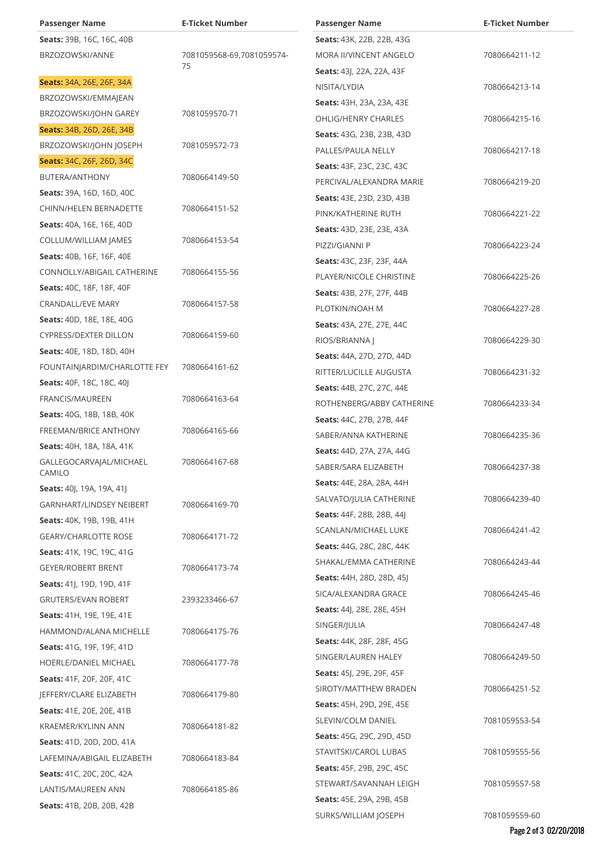| <b>Passenger Name</b>            | <b>E-Ticket Number</b>    | <b>Passenger Name</b>            | <b>E-Ticket Number</b> |
|----------------------------------|---------------------------|----------------------------------|------------------------|
| Seats: 39B, 16C, 16C, 40B        |                           | <b>Seats:</b> 43K, 22B, 22B, 43G |                        |
| BRZOZOWSKI/ANNE                  | 7081059568-69,7081059574- | MORA II/VINCENT ANGELO           | 7080664211-12          |
|                                  | 75                        | <b>Seats: 43, 22A, 22A, 43F</b>  |                        |
| Seats: 34A, 26E, 26F, 34A        |                           | NISITA/LYDIA                     | 7080664213-14          |
| BRZOZOWSKI/EMMAJEAN              |                           | <b>Seats: 43H, 23A, 23A, 43E</b> |                        |
| BRZOZOWSKI/JOHN GAREY            | 7081059570-71             | <b>OHLIG/HENRY CHARLES</b>       | 7080664215-16          |
| Seats: 34B, 26D, 26E, 34B        |                           | <b>Seats: 43G, 23B, 23B, 43D</b> |                        |
| BRZOZOWSKI/JOHN JOSEPH           | 7081059572-73             | PALLES/PAULA NELLY               | 7080664217-18          |
| Seats: 34C, 26F, 26D, 34C        |                           | Seats: 43F, 23C, 23C, 43C        |                        |
| BUTERA/ANTHONY                   | 7080664149-50             | PERCIVAL/ALEXANDRA MARIE         | 7080664219-20          |
| Seats: 39A, 16D, 16D, 40C        |                           | <b>Seats: 43E, 23D, 23D, 43B</b> |                        |
| CHINN/HELEN BERNADETTE           | 7080664151-52             | PINK/KATHERINE RUTH              | 7080664221-22          |
| Seats: 40A, 16E, 16E, 40D        |                           | <b>Seats: 43D, 23E, 23E, 43A</b> |                        |
| COLLUM/WILLIAM JAMES             | 7080664153-54             | PIZZI/GIANNI P                   | 7080664223-24          |
| <b>Seats:</b> 40B, 16F, 16F, 40E |                           | <b>Seats: 43C, 23F, 23F, 44A</b> |                        |
| CONNOLLY/ABIGAIL CATHERINE       | 7080664155-56             | PLAYER/NICOLE CHRISTINE          | 7080664225-26          |
| <b>Seats: 40C, 18F, 18F, 40F</b> |                           | <b>Seats: 43B, 27F, 27F, 44B</b> |                        |
| <b>CRANDALL/EVE MARY</b>         | 7080664157-58             | PLOTKIN/NOAH M                   | 7080664227-28          |
| <b>Seats: 40D, 18E, 18E, 40G</b> |                           | <b>Seats: 43A, 27E, 27E, 44C</b> |                        |
| <b>CYPRESS/DEXTER DILLON</b>     | 7080664159-60             | RIOS/BRIANNA J                   | 7080664229-30          |
| <b>Seats:</b> 40E, 18D, 18D, 40H |                           | Seats: 44A, 27D, 27D, 44D        |                        |
| FOUNTAINJARDIM/CHARLOTTE FEY     | 7080664161-62             | RITTER/LUCILLE AUGUSTA           | 7080664231-32          |
| <b>Seats:</b> 40F, 18C, 18C, 40J |                           | <b>Seats: 44B, 27C, 27C, 44E</b> |                        |
| FRANCIS/MAUREEN                  | 7080664163-64             | ROTHENBERG/ABBY CATHERINE        | 7080664233-34          |
| <b>Seats: 40G, 18B, 18B, 40K</b> |                           | <b>Seats: 44C, 27B, 27B, 44F</b> |                        |
| FREEMAN/BRICE ANTHONY            | 7080664165-66             | SABER/ANNA KATHERINE             | 7080664235-36          |
| <b>Seats:</b> 40H, 18A, 18A, 41K |                           | Seats: 44D, 27A, 27A, 44G        |                        |
| GALLEGOCARVAJAL/MICHAEL          | 7080664167-68             | SABER/SARA ELIZABETH             | 7080664237-38          |
| CAMILO                           |                           | <b>Seats: 44E, 28A, 28A, 44H</b> |                        |
| <b>Seats:</b> 40J, 19A, 19A, 41J |                           | SALVATO/JULIA CATHERINE          | 7080664239-40          |
| GARNHART/LINDSEY NEIBERT         | 7080664169-70             | Seats: 44F, 28B, 28B, 44J        |                        |
| <b>Seats:</b> 40K, 19B, 19B, 41H |                           | SCANLAN/MICHAEL LUKE             | 7080664241-42          |
| <b>GEARY/CHARLOTTE ROSE</b>      | 7080664171-72             | <b>Seats: 44G, 28C, 28C, 44K</b> |                        |
| <b>Seats:</b> 41K, 19C, 19C, 41G |                           | SHAKAL/EMMA CATHERINE            | 7080664243-44          |
| GEYER/ROBERT BRENT               | 7080664173-74             | <b>Seats: 44H, 28D, 28D, 45J</b> |                        |
| Seats: 41 , 19D, 19D, 41F        |                           | SICA/ALEXANDRA GRACE             | 7080664245-46          |
| <b>GRUTERS/EVAN ROBERT</b>       | 2393233466-67             | <b>Seats: 44, 28E, 28E, 45H</b>  |                        |
| Seats: 41H, 19E, 19E, 41E        |                           | SINGER/JULIA                     | 7080664247-48          |
| HAMMOND/ALANA MICHELLE           | 7080664175-76             | <b>Seats:</b> 44K, 28F, 28F, 45G |                        |
| Seats: 41G, 19F, 19F, 41D        |                           | SINGER/LAUREN HALEY              | 7080664249-50          |
| HOERLE/DANIEL MICHAEL            | 7080664177-78             | <b>Seats: 45</b> , 29E, 29F, 45F |                        |
| Seats: 41F, 20F, 20F, 41C        |                           | SIROTY/MATTHEW BRADEN            | 7080664251-52          |
| JEFFERY/CLARE ELIZABETH          | 7080664179-80             | Seats: 45H, 29D, 29E, 45E        |                        |
| <b>Seats:</b> 41E, 20E, 20E, 41B |                           | SLEVIN/COLM DANIEL               | 7081059553-54          |
| KRAEMER/KYLINN ANN               | 7080664181-82             | <b>Seats: 45G, 29C, 29D, 45D</b> |                        |
| Seats: 41D, 20D, 20D, 41A        |                           | STAVITSKI/CAROL LUBAS            | 7081059555-56          |
| LAFEMINA/ABIGAIL ELIZABETH       | 7080664183-84             | <b>Seats: 45F, 29B, 29C, 45C</b> |                        |
| Seats: 41C, 20C, 20C, 42A        |                           | STEWART/SAVANNAH LEIGH           | 7081059557-58          |
| LANTIS/MAUREEN ANN               | 7080664185-86             | <b>Seats: 45E, 29A, 29B, 45B</b> |                        |
| Seats: 41B, 20B, 20B, 42B        |                           | SURKS/WILLIAM JOSEPH             | 7081059559-60          |